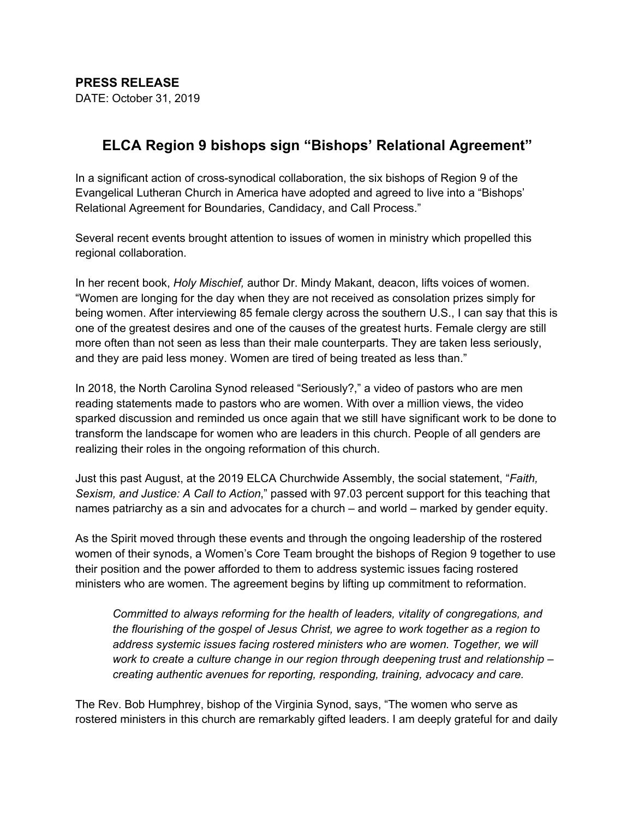## **ELCA Region 9 bishops sign "Bishops' Relational Agreement"**

In a significant action of cross-synodical collaboration, the six bishops of Region 9 of the Evangelical Lutheran Church in America have adopted and agreed to live into a "Bishops' Relational Agreement for Boundaries, Candidacy, and Call Process."

Several recent events brought attention to issues of women in ministry which propelled this regional collaboration.

In her recent book, *Holy Mischief,* author Dr. Mindy Makant, deacon, lifts voices of women. "Women are longing for the day when they are not received as consolation prizes simply for being women. After interviewing 85 female clergy across the southern U.S., I can say that this is one of the greatest desires and one of the causes of the greatest hurts. Female clergy are still more often than not seen as less than their male counterparts. They are taken less seriously, and they are paid less money. Women are tired of being treated as less than."

In 2018, the North Carolina Synod released "Seriously?," a video of pastors who are men reading statements made to pastors who are women. With over a million views, the video sparked discussion and reminded us once again that we still have significant work to be done to transform the landscape for women who are leaders in this church. People of all genders are realizing their roles in the ongoing reformation of this church.

Just this past August, at the 2019 ELCA Churchwide Assembly, the social statement, "*Faith, Sexism, and Justice: A Call to Action*," passed with 97.03 percent support for this teaching that names patriarchy as a sin and advocates for a church – and world – marked by gender equity.

As the Spirit moved through these events and through the ongoing leadership of the rostered women of their synods, a Women's Core Team brought the bishops of Region 9 together to use their position and the power afforded to them to address systemic issues facing rostered ministers who are women. The agreement begins by lifting up commitment to reformation.

*Committed to always reforming for the health of leaders, vitality of congregations, and the flourishing of the gospel of Jesus Christ, we agree to work together as a region to address systemic issues facing rostered ministers who are women. Together, we will work to create a culture change in our region through deepening trust and relationship – creating authentic avenues for reporting, responding, training, advocacy and care.*

The Rev. Bob Humphrey, bishop of the Virginia Synod, says, "The women who serve as rostered ministers in this church are remarkably gifted leaders. I am deeply grateful for and daily